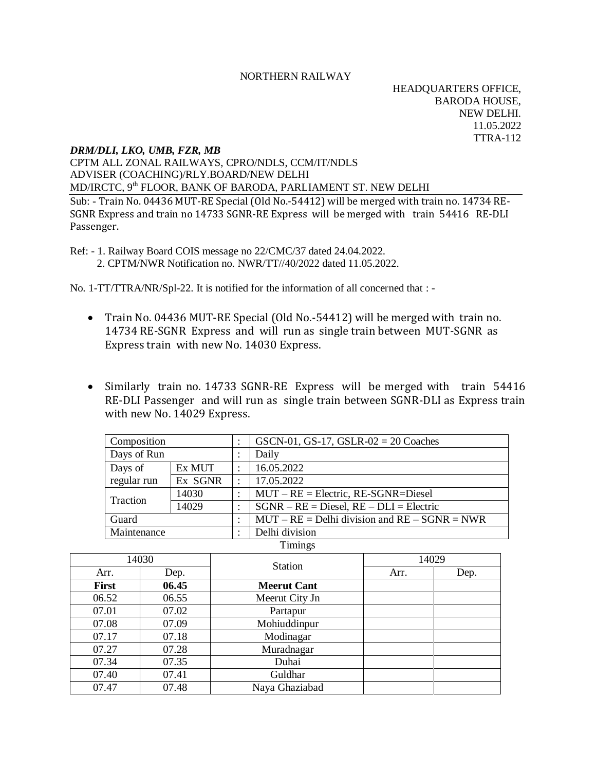## NORTHERN RAILWAY

HEADQUARTERS OFFICE, BARODA HOUSE, NEW DELHI. 11.05.2022 TTRA-112

## *DRM/DLI, LKO, UMB, FZR, MB*

## CPTM ALL ZONAL RAILWAYS, CPRO/NDLS, CCM/IT/NDLS ADVISER (COACHING)/RLY.BOARD/NEW DELHI MD/IRCTC, 9<sup>th</sup> FLOOR, BANK OF BARODA, PARLIAMENT ST. NEW DELHI

Sub: - Train No. 04436 MUT-RE Special (Old No.-54412) will be merged with train no. 14734 RE-SGNR Express and train no 14733 SGNR-RE Express will be merged with train 54416 RE-DLI Passenger.

Ref: - 1. Railway Board COIS message no 22/CMC/37 dated 24.04.2022. 2. CPTM/NWR Notification no. NWR/TT//40/2022 dated 11.05.2022.

No. 1-TT/TTRA/NR/Spl-22. It is notified for the information of all concerned that : -

- Train No. 04436 MUT-RE Special (Old No.-54412) will be merged with train no. 14734 RE-SGNR Express and will run as single train between MUT-SGNR as Express train with new No. 14030 Express.
- Similarly train no. 14733 SGNR-RE Express will be merged with train 54416 RE-DLI Passenger and will run as single train between SGNR-DLI as Express train with new No. 14029 Express.

| Composition |                       |  | GSCN-01, GS-17, GSLR-02 = $20$ Coaches            |  |
|-------------|-----------------------|--|---------------------------------------------------|--|
| Days of Run |                       |  | Daily                                             |  |
| Days of     | Ex MUT                |  | 16.05.2022                                        |  |
| regular run | Ex SGNR<br>17.05.2022 |  |                                                   |  |
| Traction    | 14030                 |  | $MUT - RE = Electric, RE-SGNR = Diesel$           |  |
|             | 14029                 |  | $SGNR - RE = Diesel, RE - DLI = Electric$         |  |
| Guard       |                       |  | $MUT - RE = Delhi$ division and $RE - SGNR = NWR$ |  |
| Maintenance |                       |  | Delhi division                                    |  |

| 14030        |       |                    | 14029 |      |
|--------------|-------|--------------------|-------|------|
| Arr.         | Dep.  | <b>Station</b>     | Arr.  | Dep. |
| <b>First</b> | 06.45 | <b>Meerut Cant</b> |       |      |
| 06.52        | 06.55 | Meerut City Jn     |       |      |
| 07.01        | 07.02 | Partapur           |       |      |
| 07.08        | 07.09 | Mohiuddinpur       |       |      |
| 07.17        | 07.18 | Modinagar          |       |      |
| 07.27        | 07.28 | Muradnagar         |       |      |
| 07.34        | 07.35 | Duhai              |       |      |
| 07.40        | 07.41 | Guldhar            |       |      |
| 07.47        | 07.48 | Naya Ghaziabad     |       |      |

**Timings**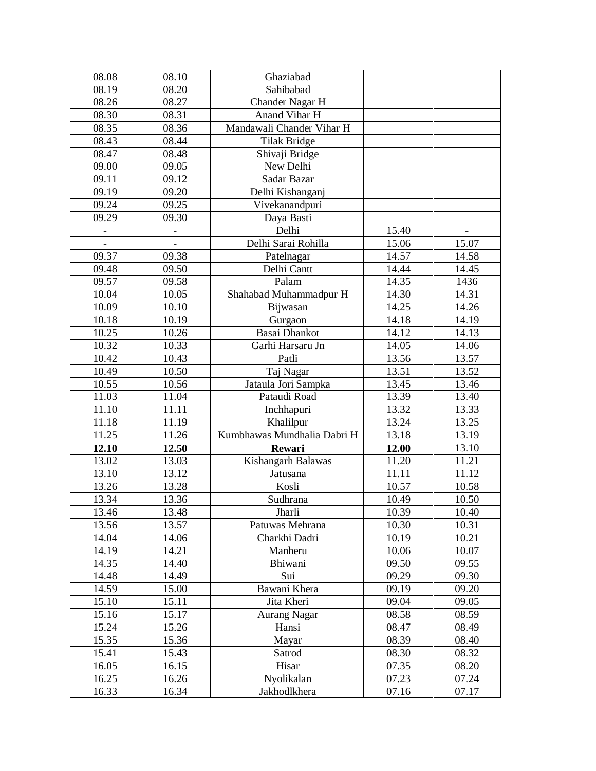| 08.08                    | 08.10                        | Ghaziabad                   |       |       |
|--------------------------|------------------------------|-----------------------------|-------|-------|
| 08.19                    | 08.20                        | Sahibabad                   |       |       |
| 08.26                    | 08.27                        | Chander Nagar H             |       |       |
| 08.30                    | 08.31                        | Anand Vihar H               |       |       |
| 08.35                    | 08.36                        | Mandawali Chander Vihar H   |       |       |
| 08.43                    | 08.44                        | <b>Tilak Bridge</b>         |       |       |
| 08.47                    | 08.48                        | Shivaji Bridge              |       |       |
| 09.00                    | 09.05                        | New Delhi                   |       |       |
| 09.11                    | 09.12                        | Sadar Bazar                 |       |       |
| 09.19                    | 09.20                        | Delhi Kishanganj            |       |       |
| 09.24                    | 09.25                        | Vivekanandpuri              |       |       |
| 09.29                    | 09.30                        | Daya Basti                  |       |       |
| $\overline{\phantom{a}}$ | $\overline{\phantom{a}}$     | Delhi                       | 15.40 |       |
| $\overline{\phantom{0}}$ | $\qquad \qquad \blacksquare$ | Delhi Sarai Rohilla         | 15.06 | 15.07 |
| 09.37                    | 09.38                        | Patelnagar                  | 14.57 | 14.58 |
| 09.48                    | 09.50                        | Delhi Cantt                 | 14.44 | 14.45 |
| 09.57                    | 09.58                        | Palam                       | 14.35 | 1436  |
| 10.04                    | 10.05                        | Shahabad Muhammadpur H      | 14.30 | 14.31 |
| 10.09                    | 10.10                        | Bijwasan                    | 14.25 | 14.26 |
| 10.18                    | 10.19                        | Gurgaon                     | 14.18 | 14.19 |
| 10.25                    | 10.26                        | Basai Dhankot               | 14.12 | 14.13 |
| 10.32                    | 10.33                        | Garhi Harsaru Jn            | 14.05 | 14.06 |
| 10.42                    | 10.43                        | Patli                       | 13.56 | 13.57 |
| 10.49                    | 10.50                        | Taj Nagar                   | 13.51 | 13.52 |
| 10.55                    | 10.56                        | Jataula Jori Sampka         | 13.45 | 13.46 |
| 11.03                    | 11.04                        | Pataudi Road                | 13.39 | 13.40 |
| 11.10                    | 11.11                        | Inchhapuri                  | 13.32 | 13.33 |
| 11.18                    | 11.19                        | Khalilpur                   | 13.24 | 13.25 |
| 11.25                    | 11.26                        | Kumbhawas Mundhalia Dabri H | 13.18 | 13.19 |
| 12.10                    | 12.50                        | Rewari                      | 12.00 | 13.10 |
| 13.02                    | 13.03                        | Kishangarh Balawas          | 11.20 | 11.21 |
| 13.10                    | 13.12                        | Jatusana                    | 11.11 | 11.12 |
| 13.26                    | 13.28                        | Kosli                       | 10.57 | 10.58 |
| 13.34                    | 13.36                        | Sudhrana                    | 10.49 | 10.50 |
| 13.46                    | 13.48                        | Jharli                      | 10.39 | 10.40 |
| 13.56                    | 13.57                        | Patuwas Mehrana             | 10.30 | 10.31 |
| 14.04                    | 14.06                        | Charkhi Dadri               | 10.19 | 10.21 |
| 14.19                    | 14.21                        | Manheru                     | 10.06 | 10.07 |
| 14.35                    | 14.40                        | Bhiwani                     | 09.50 | 09.55 |
| 14.48                    | 14.49                        | Sui                         | 09.29 | 09.30 |
| 14.59                    | 15.00                        | Bawani Khera                | 09.19 | 09.20 |
| 15.10                    | 15.11                        | Jita Kheri                  | 09.04 | 09.05 |
| 15.16                    | 15.17                        | <b>Aurang Nagar</b>         | 08.58 | 08.59 |
| 15.24                    | 15.26                        | Hansi                       | 08.47 | 08.49 |
| 15.35                    | 15.36                        | Mayar                       | 08.39 | 08.40 |
| 15.41                    | 15.43                        | Satrod                      | 08.30 | 08.32 |
| 16.05                    | 16.15                        | Hisar                       | 07.35 | 08.20 |
| 16.25                    | 16.26                        | Nyolikalan                  | 07.23 | 07.24 |
| 16.33                    | 16.34                        | Jakhodlkhera                | 07.16 | 07.17 |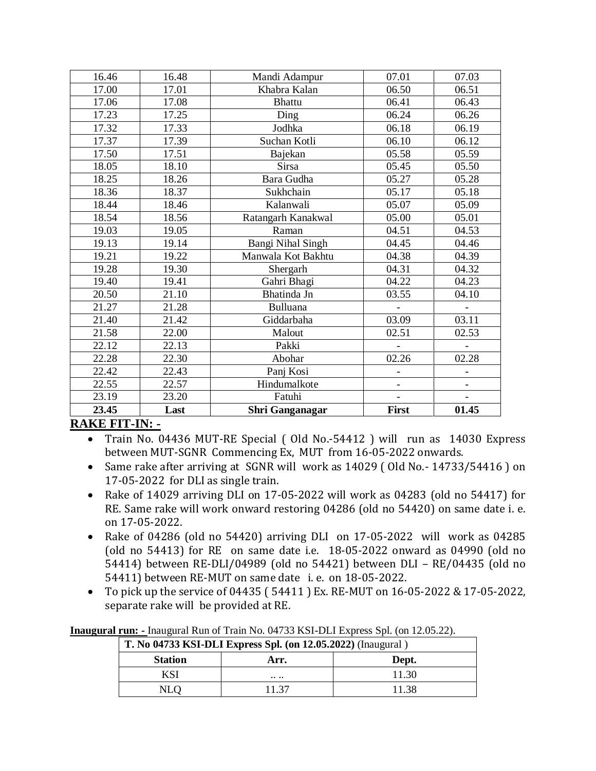| 16.46 | 16.48 | Mandi Adampur            | 07.01                    | 07.03          |
|-------|-------|--------------------------|--------------------------|----------------|
| 17.00 | 17.01 | Khabra Kalan             | 06.50                    | 06.51          |
| 17.06 | 17.08 | <b>Bhattu</b>            | 06.41                    | 06.43          |
| 17.23 | 17.25 | Ding                     | 06.24                    | 06.26          |
| 17.32 | 17.33 | Jodhka                   | 06.18                    | 06.19          |
| 17.37 | 17.39 | Suchan Kotli             | 06.10                    | 06.12          |
| 17.50 | 17.51 | Bajekan                  | 05.58                    | 05.59          |
| 18.05 | 18.10 | <b>Sirsa</b>             | 05.45                    | 05.50          |
| 18.25 | 18.26 | Bara Gudha               | 05.27                    | 05.28          |
| 18.36 | 18.37 | Sukhchain                | 05.17                    | 05.18          |
| 18.44 | 18.46 | Kalanwali                | 05.07                    | 05.09          |
| 18.54 | 18.56 | Ratangarh Kanakwal       | 05.00                    | 05.01          |
| 19.03 | 19.05 | Raman                    | 04.51                    | 04.53          |
| 19.13 | 19.14 | <b>Bangi Nihal Singh</b> | 04.45                    | 04.46          |
| 19.21 | 19.22 | Manwala Kot Bakhtu       | 04.38                    | 04.39          |
| 19.28 | 19.30 | Shergarh                 | 04.31                    | 04.32          |
| 19.40 | 19.41 | Gahri Bhagi              | 04.22                    | 04.23          |
| 20.50 | 21.10 | Bhatinda Jn              | 03.55                    | 04.10          |
| 21.27 | 21.28 | <b>Bulluana</b>          |                          |                |
| 21.40 | 21.42 | Giddarbaha               | 03.09                    | 03.11          |
| 21.58 | 22.00 | Malout                   | 02.51                    | 02.53          |
| 22.12 | 22.13 | Pakki                    |                          |                |
| 22.28 | 22.30 | Abohar                   | 02.26                    | 02.28          |
| 22.42 | 22.43 | Panj Kosi                |                          |                |
| 22.55 | 22.57 | Hindumalkote             |                          |                |
| 23.19 | 23.20 | Fatuhi                   | $\overline{\phantom{0}}$ | $\overline{a}$ |
| 23.45 | Last  | <b>Shri Ganganagar</b>   | First                    | 01.45          |

## **RAKE FIT-IN: -**

- Train No. 04436 MUT-RE Special ( Old No.-54412 ) will run as 14030 Express between MUT-SGNR Commencing Ex, MUT from 16-05-2022 onwards.
- Same rake after arriving at SGNR will work as 14029 (Old No. 14733/54416) on 17-05-2022 for DLI as single train.
- Rake of 14029 arriving DLI on 17-05-2022 will work as 04283 (old no 54417) for RE. Same rake will work onward restoring 04286 (old no 54420) on same date i. e. on 17-05-2022.
- Rake of 04286 (old no 54420) arriving DLI on 17-05-2022 will work as 04285 (old no 54413) for RE on same date i.e. 18-05-2022 onward as 04990 (old no 54414) between RE-DLI/04989 (old no 54421) between DLI – RE/04435 (old no 54411) between RE-MUT on same date i. e. on 18-05-2022.
- To pick up the service of 04435 ( 54411 ) Ex. RE-MUT on 16-05-2022 & 17-05-2022, separate rake will be provided at RE.

**T. No 04733 KSI-DLI Express Spl. (on 12.05.2022)** (Inaugural ) **Station Arr. Dept.** KSI .... 11.30 NLQ 11.37 11.38

**Inaugural run: -** Inaugural Run of Train No. 04733 KSI-DLI Express Spl. (on 12.05.22).